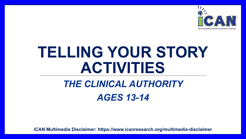

# **TELLING YOUR STORY ACTIVITIES**

### *THE CLINICAL AUTHORITY AGES 13-14*

**iCAN Multimedia Disclaimer: https://www.icanresearch.org/multimedia-disclaimer**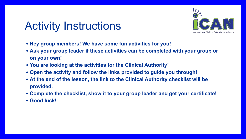### Activity Instructions



- **• Hey group members! We have some fun activities for you!**
- **• Ask your group leader if these activities can be completed with your group or on your own!**
- **• You are looking at the activities for the Clinical Authority!**
- **• Open the activity and follow the links provided to guide you through!**
- **• At the end of the lesson, the link to the Clinical Authority checklist will be provided.**
- **• Complete the checklist, show it to your group leader and get your certificate!**
- **• Good luck!**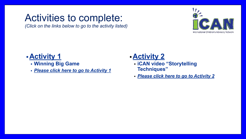### <span id="page-2-0"></span>Activities to complete:

*(Click on the links below to go to the activity listed)*



#### **•Activity 1**

- **• Winning Big Game**
- *• [Please click here to go to Activity](#page-3-0) 1*

#### **•Activity 2**

- **• iCAN video "Storytelling Techniques"**
- *• [Please click here to go to Activity](#page-4-0) 2*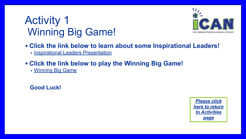### <span id="page-3-0"></span>Activity 1 Winning Big Game!



- **• Click the link below to learn about some Inspirational Leaders!**
	- [Inspirational Leaders Presentation](https://www.icanresearch.org/_files/ugd/df726f_d7dce899c1294967aeef777a69191da8.pdf)
- **• Click the link below to play the Winning Big Game!**

• [Winning Big Game](https://www.icanresearch.org/_files/ugd/df726f_5d7d06be77c74de3a38dab964ad2ee52.pdf)

 **Good Luck!**

*[Please click](#page-2-0) [here to return](#page-2-0) [to Activities](#page-2-0) [page](#page-2-0)*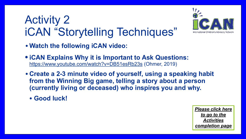## <span id="page-4-0"></span>Activity 2 iCAN "Storytelling Techniques"



- **• Watch the following iCAN video:**
- **iCAN Explains Why it is Important to Ask Questions:**  <https://www.youtube.com/watch?v=DB51esRb23s> (Ohmer, 2019)
- **• Create a 2-3 minute video of yourself, using a speaking habit from the Winning Big game, telling a story about a person (currently living or deceased) who inspires you and why.**
	- **• Good luck!**

*[Please click here](#page-5-0) [to go to the](#page-5-0) [Activities](#page-5-0) [completion page](#page-5-0)*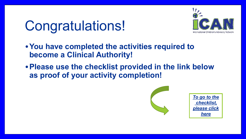## <span id="page-5-0"></span>Congratulations!



- **•You have completed the activities required to become a Clinical Authority!**
- **•Please use the checklist provided in the link below as proof of your activity completion!**